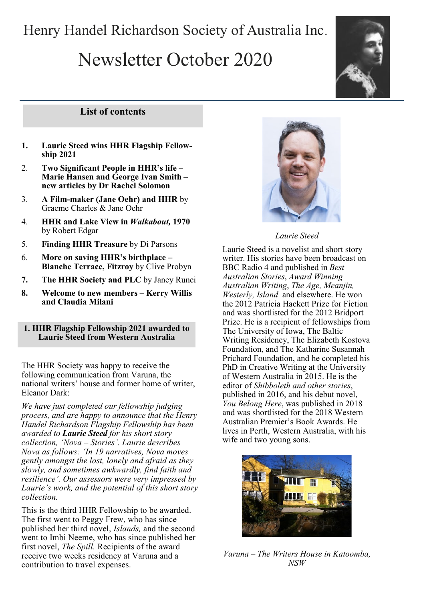# Henry Handel Richardson Society of Australia Inc.

# Newsletter October 2020



# **List of contents**

- **1. Laurie Steed wins HHR Flagship Fellowship 2021**
- 2. **Two Significant People in HHR's life – Marie Hansen and George Ivan Smith – new articles by Dr Rachel Solomon**
- 3. **A Film-maker (Jane Oehr) and HHR** by Graeme Charles & Jane Oehr
- 4. **HHR and Lake View in** *Walkabout,* **1970**  by Robert Edgar
- 5. **Finding HHR Treasure** by Di Parsons
- 6. **More on saving HHR's birthplace – Blanche Terrace, Fitzroy** by Clive Probyn
- **7. The HHR Society and PLC** by Janey Runci
- **8. Welcome to new members – Kerry Willis and Claudia Milani**

#### **1. HHR Flagship Fellowship 2021 awarded to Laurie Steed from Western Australia**

The HHR Society was happy to receive the following communication from Varuna, the national writers' house and former home of writer, Eleanor Dark:

*We have just completed our fellowship judging process, and are happy to announce that the Henry Handel Richardson Flagship Fellowship has been awarded to Laurie Steed for his short story collection, 'Nova – Stories'. Laurie describes Nova as follows: 'In 19 narratives, Nova moves gently amongst the lost, lonely and afraid as they slowly, and sometimes awkwardly, find faith and resilience'. Our assessors were very impressed by Laurie's work, and the potential of this short story collection.*

This is the third HHR Fellowship to be awarded. The first went to Peggy Frew, who has since published her third novel, *Islands,* and the second went to Imbi Neeme, who has since published her first novel, *The Spill.* Recipients of the award receive two weeks residency at Varuna and a contribution to travel expenses.



#### *Laurie Steed*

Laurie Steed is a novelist and short story writer. His stories have been broadcast on BBC Radio 4 and published in *Best Australian Stories*, *Award Winning Australian Writing*, *The Age, Meanjin, Westerly, Island* and elsewhere. He won the 2012 Patricia Hackett Prize for Fiction and was shortlisted for the 2012 Bridport Prize. He is a recipient of fellowships from The University of Iowa, The Baltic Writing Residency, The Elizabeth Kostova Foundation, and The Katharine Susannah Prichard Foundation, and he completed his PhD in Creative Writing at the University of Western Australia in 2015. He is the editor of *Shibboleth and other stories*, published in 2016, and his debut novel, *You Belong Here*, was published in 2018 and was shortlisted for the 2018 Western Australian Premier's Book Awards. He lives in Perth, Western Australia, with his wife and two young sons.



*Varuna – The Writers House in Katoomba, NSW*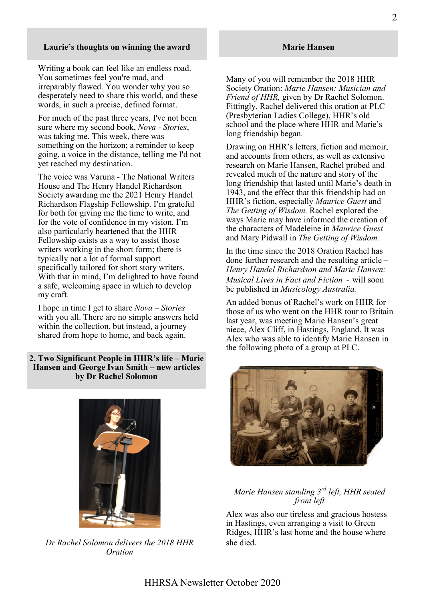#### **Laurie's thoughts on winning the award**

Writing a book can feel like an endless road. You sometimes feel you're mad, and irreparably flawed. You wonder why you so desperately need to share this world, and these words, in such a precise, defined format.

For much of the past three years, I've not been sure where my second book, *Nova - Stories*, was taking me. This week, there was something on the horizon; a reminder to keep going, a voice in the distance, telling me I'd not yet reached my destination.

The voice was Varuna - The National Writers House and The Henry Handel Richardson Society awarding me the 2021 Henry Handel Richardson Flagship Fellowship. I'm grateful for both for giving me the time to write, and for the vote of confidence in my vision. I'm also particularly heartened that the HHR Fellowship exists as a way to assist those writers working in the short form; there is typically not a lot of formal support specifically tailored for short story writers. With that in mind, I'm delighted to have found a safe, welcoming space in which to develop my craft.

I hope in time I get to share *Nova – Stories* with you all. There are no simple answers held within the collection, but instead, a journey shared from hope to home, and back again.

#### **2. Two Significant People in HHR's life – Marie Hansen and George Ivan Smith – new articles by Dr Rachel Solomon**



*Dr Rachel Solomon delivers the 2018 HHR Oration*

Many of you will remember the 2018 HHR Society Oration: *Marie Hansen: Musician and Friend of HHR,* given by Dr Rachel Solomon. Fittingly, Rachel delivered this oration at PLC (Presbyterian Ladies College), HHR's old school and the place where HHR and Marie's long friendship began.

Drawing on HHR's letters, fiction and memoir, and accounts from others, as well as extensive research on Marie Hansen, Rachel probed and revealed much of the nature and story of the long friendship that lasted until Marie's death in 1943, and the effect that this friendship had on HHR's fiction, especially *Maurice Guest* and *The Getting of Wisdom.* Rachel explored the ways Marie may have informed the creation of the characters of Madeleine in *Maurice Guest* and Mary Pidwall in *The Getting of Wisdom.*

In the time since the 2018 Oration Rachel has done further research and the resulting article – *Henry Handel Richardson and Marie Hansen: Musical Lives in Fact and Fiction* - will soon be published in *Musicology Australia.*

An added bonus of Rachel's work on HHR for those of us who went on the HHR tour to Britain last year, was meeting Marie Hansen's great niece, Alex Cliff, in Hastings, England. It was Alex who was able to identify Marie Hansen in the following photo of a group at PLC.



# *Marie Hansen standing 3rd left, HHR seated front left*

Alex was also our tireless and gracious hostess in Hastings, even arranging a visit to Green Ridges, HHR's last home and the house where she died.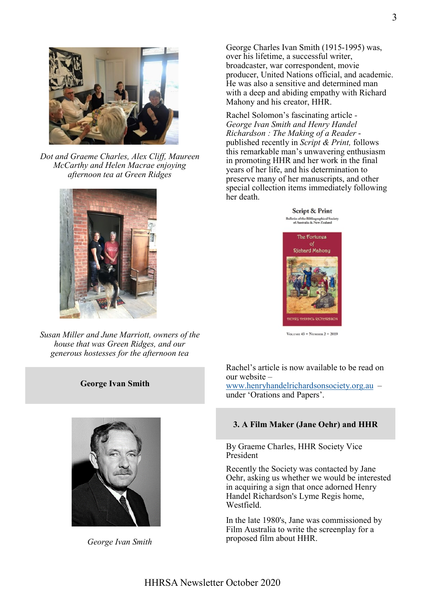

*Dot and Graeme Charles, Alex Cliff, Maureen McCarthy and Helen Macrae enjoying afternoon tea at Green Ridges* 



*Susan Miller and June Marriott, owners of the house that was Green Ridges, and our generous hostesses for the afternoon tea*

#### **George Ivan Smith**



*George Ivan Smith*

George Charles Ivan Smith (1915-1995) was, over his lifetime, a successful writer, broadcaster, war correspondent, movie producer, United Nations official, and academic. He was also a sensitive and determined man with a deep and abiding empathy with Richard Mahony and his creator, HHR.

Rachel Solomon's fascinating article *- George Ivan Smith and Henry Handel Richardson : The Making of a Reader* published recently in *Script & Print,* follows this remarkable man's unwavering enthusiasm in promoting HHR and her work in the final years of her life, and his determination to preserve many of her manuscripts, and other special collection items immediately following her death.

> **Script & Print** in of the Bibliographical Societ<br>of Australia & New Zealand



VOLUME 43 . NUMBER 2 . 2019

Rachel's article is now available to be read on our website –

[www.henryhandelrichardsonsociety.org.au](http://www.henryhandelrichardsonsociety.org.au) – under 'Orations and Papers'.

#### **3. A Film Maker (Jane Oehr) and HHR**

By Graeme Charles, HHR Society Vice President

Recently the Society was contacted by Jane Oehr, asking us whether we would be interested in acquiring a sign that once adorned Henry Handel Richardson's Lyme Regis home, Westfield.

In the late 1980's, Jane was commissioned by Film Australia to write the screenplay for a proposed film about HHR.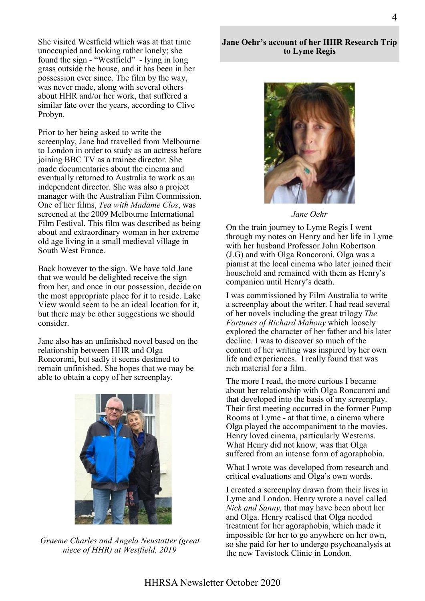She visited Westfield which was at that time unoccupied and looking rather lonely; she found the sign - "Westfield" - lying in long grass outside the house, and it has been in her possession ever since. The film by the way, was never made, along with several others about HHR and/or her work, that suffered a similar fate over the years, according to Clive Probyn.

Prior to her being asked to write the screenplay, Jane had travelled from Melbourne to London in order to study as an actress before joining BBC TV as a trainee director. She made documentaries about the cinema and eventually returned to Australia to work as an independent director. She was also a project manager with the Australian Film Commission. One of her films, *Tea with Madame Clos*, was screened at the 2009 Melbourne International Film Festival. This film was described as being about and extraordinary woman in her extreme old age living in a small medieval village in South West France.

Back however to the sign. We have told Jane that we would be delighted receive the sign from her, and once in our possession, decide on the most appropriate place for it to reside. Lake View would seem to be an ideal location for it, but there may be other suggestions we should consider.

Jane also has an unfinished novel based on the relationship between HHR and Olga Roncoroni, but sadly it seems destined to remain unfinished. She hopes that we may be able to obtain a copy of her screenplay.



*Graeme Charles and Angela Neustatter (great niece of HHR) at Westfield, 2019*

**Jane Oehr's account of her HHR Research Trip to Lyme Regis**



*Jane Oehr*

On the train journey to Lyme Regis I went through my notes on Henry and her life in Lyme with her husband Professor John Robertson (J.G) and with Olga Roncoroni. Olga was a pianist at the local cinema who later joined their household and remained with them as Henry's companion until Henry's death.

I was commissioned by Film Australia to write a screenplay about the writer. I had read several of her novels including the great trilogy *The Fortunes of Richard Mahony* which loosely explored the character of her father and his later decline. I was to discover so much of the content of her writing was inspired by her own life and experiences. I really found that was rich material for a film.

The more I read, the more curious I became about her relationship with Olga Roncoroni and that developed into the basis of my screenplay. Their first meeting occurred in the former Pump Rooms at Lyme - at that time, a cinema where Olga played the accompaniment to the movies. Henry loved cinema, particularly Westerns. What Henry did not know, was that Olga suffered from an intense form of agoraphobia.

What I wrote was developed from research and critical evaluations and Olga's own words.

I created a screenplay drawn from their lives in Lyme and London. Henry wrote a novel called *Nick and Sanny,* that may have been about her and Olga. Henry realised that Olga needed treatment for her agoraphobia, which made it impossible for her to go anywhere on her own, so she paid for her to undergo psychoanalysis at the new Tavistock Clinic in London.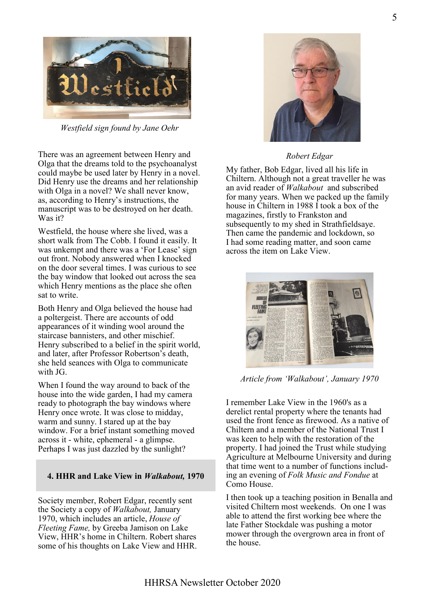

*Westfield sign found by Jane Oehr*

There was an agreement between Henry and Olga that the dreams told to the psychoanalyst could maybe be used later by Henry in a novel. Did Henry use the dreams and her relationship with Olga in a novel? We shall never know, as, according to Henry's instructions, the manuscript was to be destroyed on her death. Was it?

Westfield, the house where she lived, was a short walk from The Cobb. I found it easily. It was unkempt and there was a 'For Lease' sign out front. Nobody answered when I knocked on the door several times. I was curious to see the bay window that looked out across the sea which Henry mentions as the place she often sat to write.

Both Henry and Olga believed the house had a poltergeist. There are accounts of odd appearances of it winding wool around the staircase bannisters, and other mischief. Henry subscribed to a belief in the spirit world, and later, after Professor Robertson's death, she held seances with Olga to communicate with JG.

When I found the way around to back of the house into the wide garden, I had my camera ready to photograph the bay windows where Henry once wrote. It was close to midday, warm and sunny. I stared up at the bay window. For a brief instant something moved across it - white, ephemeral - a glimpse. Perhaps I was just dazzled by the sunlight?

# **4. HHR and Lake View in** *Walkabout,* **1970**

Society member, Robert Edgar, recently sent the Society a copy of *Walkabout,* January 1970, which includes an article, *House of Fleeting Fame,* by Greeba Jamison on Lake View, HHR's home in Chiltern. Robert shares some of his thoughts on Lake View and HHR.



### *Robert Edgar*

My father, Bob Edgar, lived all his life in Chiltern. Although not a great traveller he was an avid reader of *Walkabout* and subscribed for many years. When we packed up the family house in Chiltern in 1988 I took a box of the magazines, firstly to Frankston and subsequently to my shed in Strathfieldsaye. Then came the pandemic and lockdown, so I had some reading matter, and soon came across the item on Lake View.



*Article from 'Walkabout', January 1970*

I remember Lake View in the 1960's as a derelict rental property where the tenants had used the front fence as firewood. As a native of Chiltern and a member of the National Trust I was keen to help with the restoration of the property. I had joined the Trust while studying Agriculture at Melbourne University and during that time went to a number of functions including an evening of *Folk Music and Fondue* at Como House.

I then took up a teaching position in Benalla and visited Chiltern most weekends. On one I was able to attend the first working bee where the late Father Stockdale was pushing a motor mower through the overgrown area in front of the house.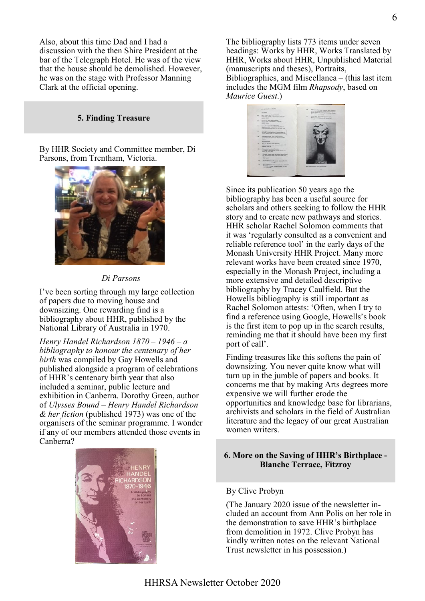Also, about this time Dad and I had a discussion with the then Shire President at the bar of the Telegraph Hotel. He was of the view that the house should be demolished. However, he was on the stage with Professor Manning Clark at the official opening.

#### **5. Finding Treasure**

By HHR Society and Committee member, Di Parsons, from Trentham, Victoria.



#### *Di Parsons*

I've been sorting through my large collection of papers due to moving house and downsizing. One rewarding find is a bibliography about HHR, published by the National Library of Australia in 1970.

*Henry Handel Richardson 1870 – 1946 – a bibliography to honour the centenary of her birth* was compiled by Gay Howells and published alongside a program of celebrations of HHR's centenary birth year that also included a seminar, public lecture and exhibition in Canberra. Dorothy Green, author of *Ulysses Bound – Henry Handel Richardson & her fiction* (published 1973) was one of the organisers of the seminar programme. I wonder if any of our members attended those events in Canberra?



The bibliography lists 773 items under seven headings: Works by HHR, Works Translated by HHR, Works about HHR, Unpublished Material (manuscripts and theses), Portraits, Bibliographies, and Miscellanea – (this last item includes the MGM film *Rhapsody*, based on *Maurice Guest*.)



Since its publication 50 years ago the bibliography has been a useful source for scholars and others seeking to follow the HHR story and to create new pathways and stories. HHR scholar Rachel Solomon comments that it was 'regularly consulted as a convenient and reliable reference tool' in the early days of the Monash University HHR Project. Many more relevant works have been created since 1970, especially in the Monash Project, including a more extensive and detailed descriptive bibliography by Tracey Caulfield. But the Howells bibliography is still important as Rachel Solomon attests: 'Often, when I try to find a reference using Google, Howells's book is the first item to pop up in the search results, reminding me that it should have been my first port of call'.

Finding treasures like this softens the pain of downsizing. You never quite know what will turn up in the jumble of papers and books. It concerns me that by making Arts degrees more expensive we will further erode the opportunities and knowledge base for librarians, archivists and scholars in the field of Australian literature and the legacy of our great Australian women writers.

#### **6. More on the Saving of HHR's Birthplace - Blanche Terrace, Fitzroy**

#### By Clive Probyn

(The January 2020 issue of the newsletter included an account from Ann Polis on her role in the demonstration to save HHR's birthplace from demolition in 1972. Clive Probyn has kindly written notes on the relevant National Trust newsletter in his possession.)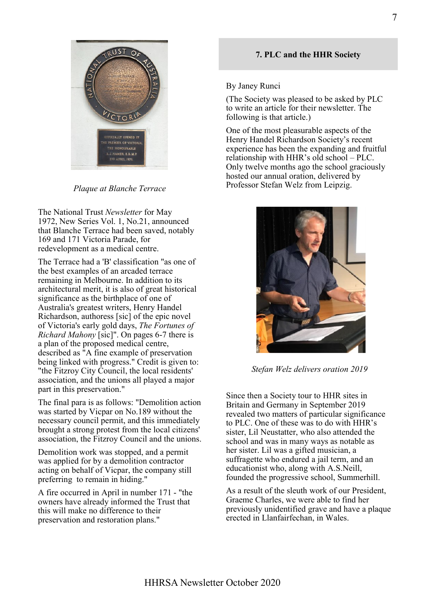

*Plaque at Blanche Terrace*

The National Trust *Newsletter* for May 1972, New Series Vol. 1, No.21, announced that Blanche Terrace had been saved, notably 169 and 171 Victoria Parade, for redevelopment as a medical centre.

The Terrace had a 'B' classification "as one of the best examples of an arcaded terrace remaining in Melbourne. In addition to its architectural merit, it is also of great historical significance as the birthplace of one of Australia's greatest writers, Henry Handel Richardson, authoress [sic] of the epic novel of Victoria's early gold days, *The Fortunes of Richard Mahony* [sic]". On pages 6-7 there is a plan of the proposed medical centre, described as "A fine example of preservation being linked with progress." Credit is given to: "the Fitzroy City Council, the local residents' association, and the unions all played a major part in this preservation."

The final para is as follows: "Demolition action was started by Vicpar on No.189 without the necessary council permit, and this immediately brought a strong protest from the local citizens' association, the Fitzroy Council and the unions.

Demolition work was stopped, and a permit was applied for by a demolition contractor acting on behalf of Vicpar, the company still preferring to remain in hiding."

A fire occurred in April in number 171 - "the owners have already informed the Trust that this will make no difference to their preservation and restoration plans."

# **7. PLC and the HHR Society**

#### By Janey Runci

(The Society was pleased to be asked by PLC to write an article for their newsletter. The following is that article.)

One of the most pleasurable aspects of the Henry Handel Richardson Society's recent experience has been the expanding and fruitful relationship with HHR's old school – PLC. Only twelve months ago the school graciously hosted our annual oration, delivered by Professor Stefan Welz from Leipzig.



*Stefan Welz delivers oration 2019*

Since then a Society tour to HHR sites in Britain and Germany in September 2019 revealed two matters of particular significance to PLC. One of these was to do with HHR's sister, Lil Neustatter, who also attended the school and was in many ways as notable as her sister. Lil was a gifted musician, a suffragette who endured a jail term, and an educationist who, along with A.S.Neill, founded the progressive school, Summerhill.

As a result of the sleuth work of our President, Graeme Charles, we were able to find her previously unidentified grave and have a plaque erected in Llanfairfechan, in Wales.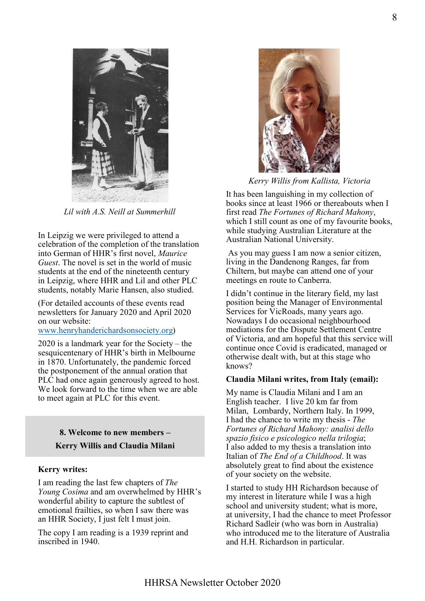

*Lil with A.S. Neill at Summerhill*

In Leipzig we were privileged to attend a celebration of the completion of the translation into German of HHR's first novel, *Maurice Guest*. The novel is set in the world of music students at the end of the nineteenth century in Leipzig, where HHR and Lil and other PLC students, notably Marie Hansen, also studied.

(For detailed accounts of these events read newsletters for January 2020 and April 2020 on our website:

#### [www.henryhanderichardsonsociety.org\)](http://www.henryhanderichardsonsociety.org)

2020 is a landmark year for the Society – the sesquicentenary of HHR's birth in Melbourne in 1870. Unfortunately, the pandemic forced the postponement of the annual oration that PLC had once again generously agreed to host. We look forward to the time when we are able to meet again at PLC for this event.

# **8. Welcome to new members – Kerry Willis and Claudia Milani**

### **Kerry writes:**

I am reading the last few chapters of *The Young Cosima* and am overwhelmed by HHR's wonderful ability to capture the subtlest of emotional frailties, so when I saw there was an HHR Society, I just felt I must join.

The copy I am reading is a 1939 reprint and inscribed in 1940.



*Kerry Willis from Kallista, Victoria*

It has been languishing in my collection of books since at least 1966 or thereabouts when I first read *The Fortunes of Richard Mahony*, which I still count as one of my favourite books, while studying Australian Literature at the Australian National University.

As you may guess I am now a senior citizen, living in the Dandenong Ranges, far from Chiltern, but maybe can attend one of your meetings en route to Canberra.

I didn't continue in the literary field, my last position being the Manager of Environmental Services for VicRoads, many years ago. Nowadays I do occasional neighbourhood mediations for the Dispute Settlement Centre of Victoria, and am hopeful that this service will continue once Covid is eradicated, managed or otherwise dealt with, but at this stage who knows?

#### **Claudia Milani writes, from Italy (email):**

My name is Claudia Milani and I am an English teacher. I live 20 km far from Milan, Lombardy, Northern Italy. In 1999, I had the chance to write my thesis - *The Fortunes of Richard Mahony: analisi dello spazio fisico e psicologico nella trilogia*; I also added to my thesis a translation into Italian of *The End of a Childhood*. It was absolutely great to find about the existence of your society on the website.

I started to study HH Richardson because of my interest in literature while I was a high school and university student; what is more, at university, I had the chance to meet Professor Richard Sadleir (who was born in Australia) who introduced me to the literature of Australia and H.H. Richardson in particular.